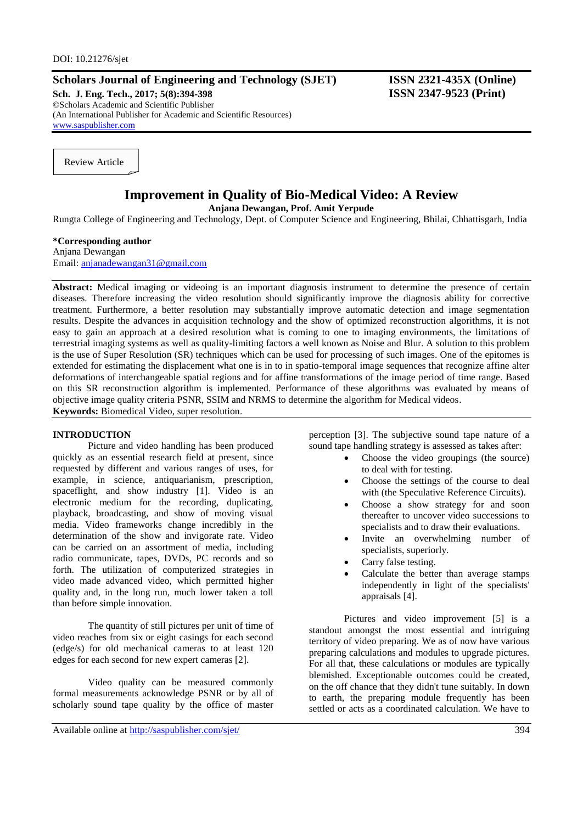# **Scholars Journal of Engineering and Technology (SJET) ISSN 2321-435X (Online)**

**Sch. J. Eng. Tech., 2017; 5(8):394-398 ISSN 2347-9523 (Print)** ©Scholars Academic and Scientific Publisher (An International Publisher for Academic and Scientific Resources) [www.saspublisher.com](http://www.saspublisher.com/)

Review Article

# **Improvement in Quality of Bio-Medical Video: A Review**

**Anjana Dewangan, Prof. Amit Yerpude**

Rungta College of Engineering and Technology, Dept. of Computer Science and Engineering, Bhilai, Chhattisgarh, India

### **\*Corresponding author**

Anjana Dewangan Email: [anjanadewangan31@gmail.com](mailto:anjanadewangan31@gmail.com)

Abstract: Medical imaging or videoing is an important diagnosis instrument to determine the presence of certain diseases. Therefore increasing the video resolution should significantly improve the diagnosis ability for corrective treatment. Furthermore, a better resolution may substantially improve automatic detection and image segmentation results. Despite the advances in acquisition technology and the show of optimized reconstruction algorithms, it is not easy to gain an approach at a desired resolution what is coming to one to imaging environments, the limitations of terrestrial imaging systems as well as quality-limiting factors a well known as Noise and Blur. A solution to this problem is the use of Super Resolution (SR) techniques which can be used for processing of such images. One of the epitomes is extended for estimating the displacement what one is in to in spatio-temporal image sequences that recognize affine alter deformations of interchangeable spatial regions and for affine transformations of the image period of time range. Based on this SR reconstruction algorithm is implemented. Performance of these algorithms was evaluated by means of objective image quality criteria PSNR, SSIM and NRMS to determine the algorithm for Medical videos. **Keywords:** Biomedical Video, super resolution.

#### **INTRODUCTION**

Picture and video handling has been produced quickly as an essential research field at present, since requested by different and various ranges of uses, for example, in science, antiquarianism, prescription, spaceflight, and show industry [1]. Video is an electronic medium for the recording, duplicating, playback, broadcasting, and show of moving visual media. Video frameworks change incredibly in the determination of the show and invigorate rate. Video can be carried on an assortment of media, including radio communicate, tapes, DVDs, PC records and so forth. The utilization of computerized strategies in video made advanced video, which permitted higher quality and, in the long run, much lower taken a toll than before simple innovation.

The quantity of still pictures per unit of time of video reaches from six or eight casings for each second (edge/s) for old mechanical cameras to at least 120 edges for each second for new expert cameras [2].

Video quality can be measured commonly formal measurements acknowledge PSNR or by all of scholarly sound tape quality by the office of master

perception [3]. The subjective sound tape nature of a sound tape handling strategy is assessed as takes after:

- Choose the video groupings (the source) to deal with for testing.
- Choose the settings of the course to deal with (the Speculative Reference Circuits).
- Choose a show strategy for and soon thereafter to uncover video successions to specialists and to draw their evaluations.
- Invite an overwhelming number of specialists, superiorly.
- Carry false testing.
- Calculate the better than average stamps independently in light of the specialists' appraisals [4].

Pictures and video improvement [5] is a standout amongst the most essential and intriguing territory of video preparing. We as of now have various preparing calculations and modules to upgrade pictures. For all that, these calculations or modules are typically blemished. Exceptionable outcomes could be created, on the off chance that they didn't tune suitably. In down to earth, the preparing module frequently has been settled or acts as a coordinated calculation. We have to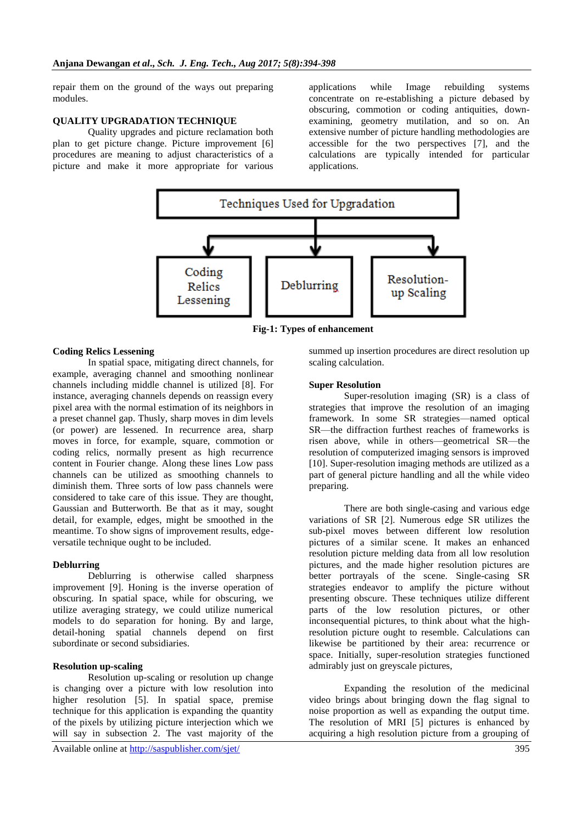repair them on the ground of the ways out preparing modules.

#### **QUALITY UPGRADATION TECHNIQUE**

Quality upgrades and picture reclamation both plan to get picture change. Picture improvement [6] procedures are meaning to adjust characteristics of a picture and make it more appropriate for various applications while Image rebuilding systems concentrate on re-establishing a picture debased by obscuring, commotion or coding antiquities, downexamining, geometry mutilation, and so on. An extensive number of picture handling methodologies are accessible for the two perspectives [7], and the calculations are typically intended for particular applications.



**Fig-1: Types of enhancement**

#### **Coding Relics Lessening**

In spatial space, mitigating direct channels, for example, averaging channel and smoothing nonlinear channels including middle channel is utilized [8]. For instance, averaging channels depends on reassign every pixel area with the normal estimation of its neighbors in a preset channel gap. Thusly, sharp moves in dim levels (or power) are lessened. In recurrence area, sharp moves in force, for example, square, commotion or coding relics, normally present as high recurrence content in Fourier change. Along these lines Low pass channels can be utilized as smoothing channels to diminish them. Three sorts of low pass channels were considered to take care of this issue. They are thought, Gaussian and Butterworth. Be that as it may, sought detail, for example, edges, might be smoothed in the meantime. To show signs of improvement results, edgeversatile technique ought to be included.

#### **Deblurring**

Deblurring is otherwise called sharpness improvement [9]. Honing is the inverse operation of obscuring. In spatial space, while for obscuring, we utilize averaging strategy, we could utilize numerical models to do separation for honing. By and large, detail-honing spatial channels depend on first subordinate or second subsidiaries.

#### **Resolution up-scaling**

Resolution up-scaling or resolution up change is changing over a picture with low resolution into higher resolution [5]. In spatial space, premise technique for this application is expanding the quantity of the pixels by utilizing picture interjection which we will say in subsection 2. The vast majority of the summed up insertion procedures are direct resolution up scaling calculation.

#### **Super Resolution**

Super-resolution imaging (SR) is a class of strategies that improve the resolution of an imaging framework. In some SR strategies—named optical SR—the diffraction furthest reaches of frameworks is risen above, while in others—geometrical SR—the resolution of computerized imaging sensors is improved [10]. Super-resolution imaging methods are utilized as a part of general picture handling and all the while video preparing.

There are both single-casing and various edge variations of SR [2]. Numerous edge SR utilizes the sub-pixel moves between different low resolution pictures of a similar scene. It makes an enhanced resolution picture melding data from all low resolution pictures, and the made higher resolution pictures are better portrayals of the scene. Single-casing SR strategies endeavor to amplify the picture without presenting obscure. These techniques utilize different parts of the low resolution pictures, or other inconsequential pictures, to think about what the highresolution picture ought to resemble. Calculations can likewise be partitioned by their area: recurrence or space. Initially, super-resolution strategies functioned admirably just on greyscale pictures,

Expanding the resolution of the medicinal video brings about bringing down the flag signal to noise proportion as well as expanding the output time. The resolution of MRI [5] pictures is enhanced by acquiring a high resolution picture from a grouping of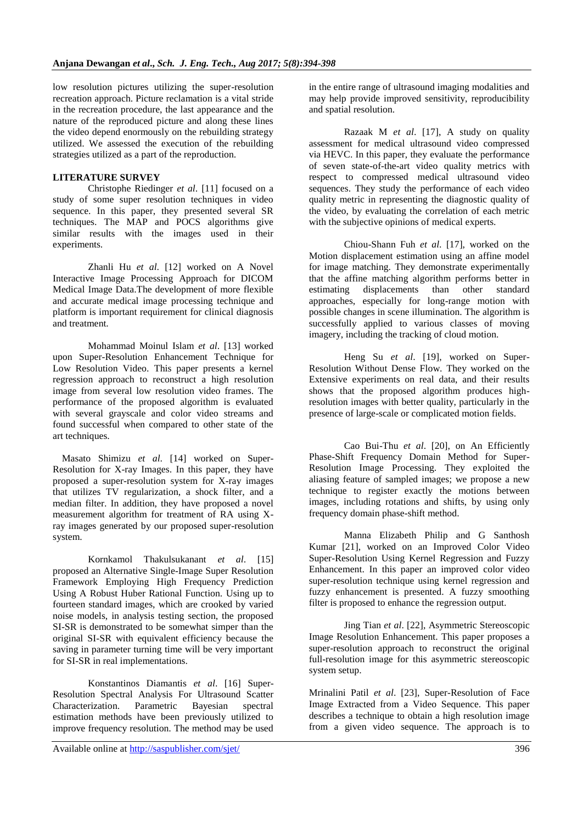low resolution pictures utilizing the super-resolution recreation approach. Picture reclamation is a vital stride in the recreation procedure, the last appearance and the nature of the reproduced picture and along these lines the video depend enormously on the rebuilding strategy utilized. We assessed the execution of the rebuilding strategies utilized as a part of the reproduction.

# **LITERATURE SURVEY**

Christophe Riedinger *et al*. [11] focused on a study of some super resolution techniques in video sequence. In this paper, they presented several SR techniques. The MAP and POCS algorithms give similar results with the images used in their experiments.

Zhanli Hu *et al*. [12] worked on A Novel Interactive Image Processing Approach for DICOM Medical Image Data.The development of more flexible and accurate medical image processing technique and platform is important requirement for clinical diagnosis and treatment.

Mohammad Moinul Islam *et al*. [13] worked upon Super-Resolution Enhancement Technique for Low Resolution Video. This paper presents a kernel regression approach to reconstruct a high resolution image from several low resolution video frames. The performance of the proposed algorithm is evaluated with several grayscale and color video streams and found successful when compared to other state of the art techniques.

Masato Shimizu *et al*. [14] worked on Super-Resolution for X-ray Images. In this paper, they have proposed a super-resolution system for X-ray images that utilizes TV regularization, a shock filter, and a median filter. In addition, they have proposed a novel measurement algorithm for treatment of RA using Xray images generated by our proposed super-resolution system.

Kornkamol Thakulsukanant *et al*. [15] proposed an Alternative Single-Image Super Resolution Framework Employing High Frequency Prediction Using A Robust Huber Rational Function. Using up to fourteen standard images, which are crooked by varied noise models, in analysis testing section, the proposed SI-SR is demonstrated to be somewhat simper than the original SI-SR with equivalent efficiency because the saving in parameter turning time will be very important for SI-SR in real implementations.

Konstantinos Diamantis *et al*. [16] Super-Resolution Spectral Analysis For Ultrasound Scatter Characterization. Parametric Bayesian spectral estimation methods have been previously utilized to improve frequency resolution. The method may be used in the entire range of ultrasound imaging modalities and may help provide improved sensitivity, reproducibility and spatial resolution.

Razaak M *et al*. [17], A study on quality assessment for medical ultrasound video compressed via HEVC. In this paper, they evaluate the performance of seven state-of-the-art video quality metrics with respect to compressed medical ultrasound video sequences. They study the performance of each video quality metric in representing the diagnostic quality of the video, by evaluating the correlation of each metric with the subjective opinions of medical experts.

Chiou-Shann Fuh *et al*. [17], worked on the Motion displacement estimation using an affine model for image matching. They demonstrate experimentally that the affine matching algorithm performs better in estimating displacements than other standard approaches, especially for long-range motion with possible changes in scene illumination. The algorithm is successfully applied to various classes of moving imagery, including the tracking of cloud motion.

Heng Su *et al*. [19], worked on Super-Resolution Without Dense Flow. They worked on the Extensive experiments on real data, and their results shows that the proposed algorithm produces highresolution images with better quality, particularly in the presence of large-scale or complicated motion fields.

Cao Bui-Thu *et al*. [20], on An Efficiently Phase-Shift Frequency Domain Method for Super-Resolution Image Processing. They exploited the aliasing feature of sampled images; we propose a new technique to register exactly the motions between images, including rotations and shifts, by using only frequency domain phase-shift method.

Manna Elizabeth Philip and G Santhosh Kumar [21], worked on an Improved Color Video Super-Resolution Using Kernel Regression and Fuzzy Enhancement. In this paper an improved color video super-resolution technique using kernel regression and fuzzy enhancement is presented. A fuzzy smoothing filter is proposed to enhance the regression output.

Jing Tian *et al*. [22], Asymmetric Stereoscopic Image Resolution Enhancement. This paper proposes a super-resolution approach to reconstruct the original full-resolution image for this asymmetric stereoscopic system setup.

Mrinalini Patil *et al*. [23], Super-Resolution of Face Image Extracted from a Video Sequence. This paper describes a technique to obtain a high resolution image from a given video sequence. The approach is to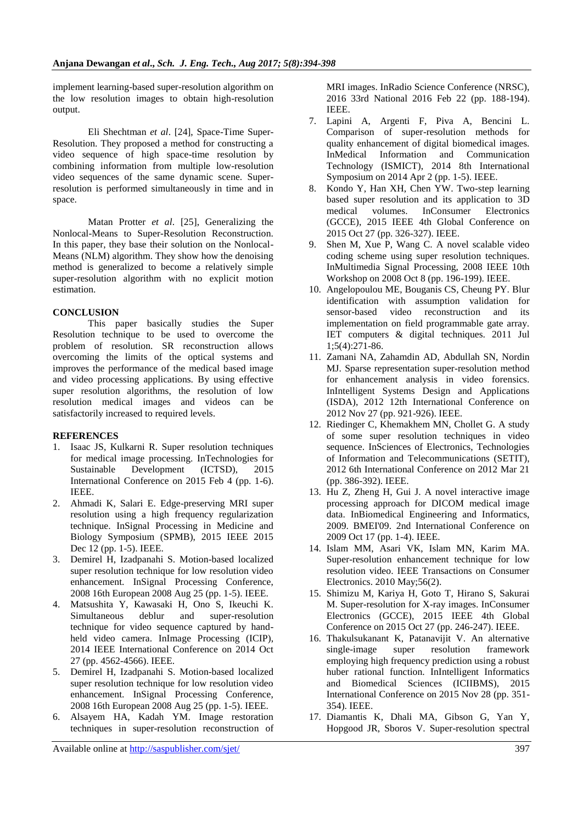implement learning-based super-resolution algorithm on the low resolution images to obtain high-resolution output.

Eli Shechtman *et al*. [24], Space-Time Super-Resolution. They proposed a method for constructing a video sequence of high space-time resolution by combining information from multiple low-resolution video sequences of the same dynamic scene. Superresolution is performed simultaneously in time and in space.

Matan Protter *et al*. [25], Generalizing the Nonlocal-Means to Super-Resolution Reconstruction. In this paper, they base their solution on the Nonlocal-Means (NLM) algorithm. They show how the denoising method is generalized to become a relatively simple super-resolution algorithm with no explicit motion estimation.

## **CONCLUSION**

This paper basically studies the Super Resolution technique to be used to overcome the problem of resolution. SR reconstruction allows overcoming the limits of the optical systems and improves the performance of the medical based image and video processing applications. By using effective super resolution algorithms, the resolution of low resolution medical images and videos can be satisfactorily increased to required levels.

## **REFERENCES**

- 1. Isaac JS, Kulkarni R. Super resolution techniques for medical image processing. InTechnologies for Sustainable Development (ICTSD), 2015 International Conference on 2015 Feb 4 (pp. 1-6). IEEE.
- 2. Ahmadi K, Salari E. Edge-preserving MRI super resolution using a high frequency regularization technique. InSignal Processing in Medicine and Biology Symposium (SPMB), 2015 IEEE 2015 Dec 12 (pp. 1-5). IEEE.
- 3. Demirel H, Izadpanahi S. Motion-based localized super resolution technique for low resolution video enhancement. InSignal Processing Conference, 2008 16th European 2008 Aug 25 (pp. 1-5). IEEE.
- 4. Matsushita Y, Kawasaki H, Ono S, Ikeuchi K. Simultaneous deblur and super-resolution technique for video sequence captured by handheld video camera. InImage Processing (ICIP), 2014 IEEE International Conference on 2014 Oct 27 (pp. 4562-4566). IEEE.
- 5. Demirel H, Izadpanahi S. Motion-based localized super resolution technique for low resolution video enhancement. InSignal Processing Conference, 2008 16th European 2008 Aug 25 (pp. 1-5). IEEE.
- 6. Alsayem HA, Kadah YM. Image restoration techniques in super-resolution reconstruction of

MRI images. InRadio Science Conference (NRSC), 2016 33rd National 2016 Feb 22 (pp. 188-194). IEEE.

- 7. Lapini A, Argenti F, Piva A, Bencini L. Comparison of super-resolution methods for quality enhancement of digital biomedical images. InMedical Information and Communication Technology (ISMICT), 2014 8th International Symposium on 2014 Apr 2 (pp. 1-5). IEEE.
- 8. Kondo Y, Han XH, Chen YW. Two-step learning based super resolution and its application to 3D medical volumes. InConsumer Electronics (GCCE), 2015 IEEE 4th Global Conference on 2015 Oct 27 (pp. 326-327). IEEE.
- 9. Shen M, Xue P, Wang C. A novel scalable video coding scheme using super resolution techniques. InMultimedia Signal Processing, 2008 IEEE 10th Workshop on 2008 Oct 8 (pp. 196-199). IEEE.
- 10. Angelopoulou ME, Bouganis CS, Cheung PY. Blur identification with assumption validation for sensor-based video reconstruction and its implementation on field programmable gate array. IET computers & digital techniques. 2011 Jul 1;5(4):271-86.
- 11. Zamani NA, Zahamdin AD, Abdullah SN, Nordin MJ. Sparse representation super-resolution method for enhancement analysis in video forensics. InIntelligent Systems Design and Applications (ISDA), 2012 12th International Conference on 2012 Nov 27 (pp. 921-926). IEEE.
- 12. Riedinger C, Khemakhem MN, Chollet G. A study of some super resolution techniques in video sequence. InSciences of Electronics, Technologies of Information and Telecommunications (SETIT), 2012 6th International Conference on 2012 Mar 21 (pp. 386-392). IEEE.
- 13. Hu Z, Zheng H, Gui J. A novel interactive image processing approach for DICOM medical image data. InBiomedical Engineering and Informatics, 2009. BMEI'09. 2nd International Conference on 2009 Oct 17 (pp. 1-4). IEEE.
- 14. Islam MM, Asari VK, Islam MN, Karim MA. Super-resolution enhancement technique for low resolution video. IEEE Transactions on Consumer Electronics. 2010 May;56(2).
- 15. Shimizu M, Kariya H, Goto T, Hirano S, Sakurai M. Super-resolution for X-ray images. InConsumer Electronics (GCCE), 2015 IEEE 4th Global Conference on 2015 Oct 27 (pp. 246-247). IEEE.
- 16. Thakulsukanant K, Patanavijit V. An alternative single-image super resolution framework employing high frequency prediction using a robust huber rational function. InIntelligent Informatics and Biomedical Sciences (ICIIBMS), 2015 International Conference on 2015 Nov 28 (pp. 351- 354). IEEE.
- 17. Diamantis K, Dhali MA, Gibson G, Yan Y, Hopgood JR, Sboros V. Super-resolution spectral